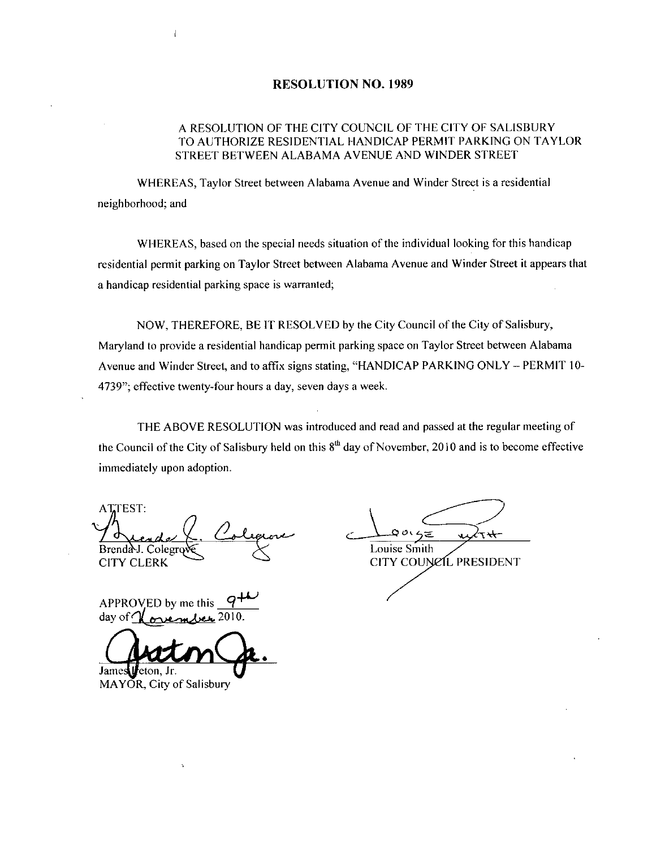#### RESOLUTION NO. 1989

### A RESOLUTION OF THE CITY COUNCIL OF THE CITY OF SALISBURY TO AUTHORIZE RESIDENTIAL HANDICAP PERMIT PARKING ON TAYLOR STREET BETWEEN ALABAMA AVENUE AND WINDER STREET

WHEREAS, Taylor Street between Alabama Avenue and Winder Street is a residential neighborhood; and

WHEREAS, based on the special needs situation of the individual looking for this handicap residential permit parking on Taylor Street between Alabama Avenue and Winder Street it appears that a handicap residential parking space is warranted

NOW, THEREFORE, BE IT RESOLVED by the City Council of the City of Salisbury,<br>Maryland to provide a residential handicap permit parking space on Taylor Street between Alabama Avenue and Winder Street, and to affix signs stating, "HANDICAP PARKING ONLY - PERMIT 10-4739"; effective twenty-four hours a day, seven days a week.

THE ABOVE RESOLUTION was introduced and read and passed at the regular meeting of the Council of the City of Salisbury held on this  $8<sup>th</sup>$  day of November, 2010 and is to become effective immediately upon adoption

ATTEST: Brenda J. Colegrov CITY CLERK Brenda-J.<br>CITY CL<br>APPROV<br>day of M<br>James Ve<br>MAYOR,

 $\subset$  $+7$ 

Louise Smith CITY COUNCIL PRESIDENT

APPROVED by me this q day of  $\epsilon$ 

 $eton, Jr.$ 

MAYOR, City of Salisbury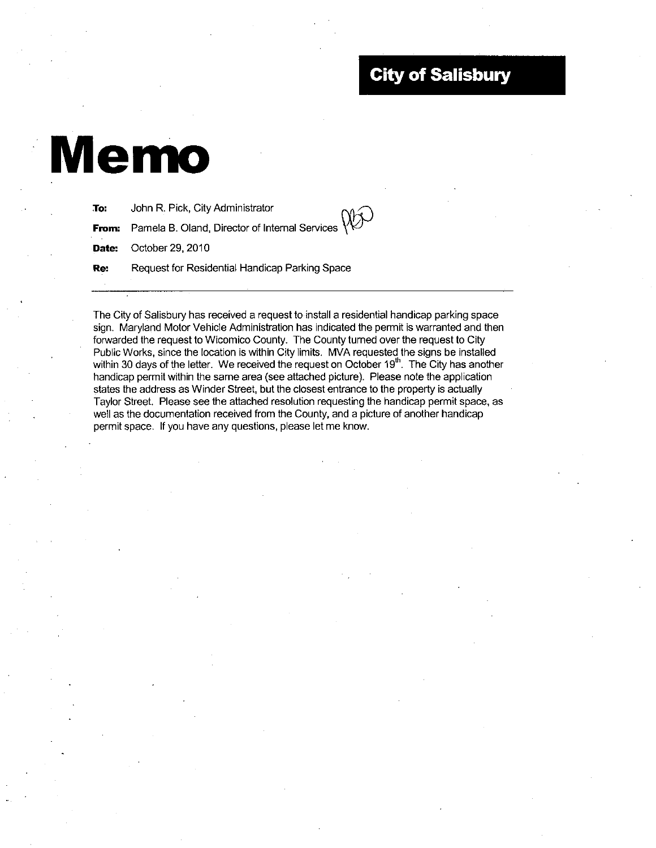## **City of Salisbury**

# Memo

| To: | John R. Pick, City Administrator                                          |
|-----|---------------------------------------------------------------------------|
|     | <b>From:</b> Pamela B. Oland, Director of Internal Services $\mathcal{W}$ |
|     | Date: October 29, 2010                                                    |
| Re: | Request for Residential Handicap Parking Space                            |
|     |                                                                           |

The City of Salisbury has received a request to install a residential handicap parking space sign. Maryland Motor Vehicle Administration has indicated the permit is warranted and then forwarded the request to Wicomico County The County turned over the request to City Public Works, since the location is within City limits. MVA requested the signs be installed within 30 days of the letter. We received the request on October  $19<sup>th</sup>$ . The City has another handicap permit within the same area (see attached picture). Please note the application states the address as Winder Street, but the closest entrance to the property is actually Taylor Street. Please see the attached resolution requesting the handicap permit space, as well as the documentation received from the County, and a picture of another handicap permit space. If you have any questions, please let me know.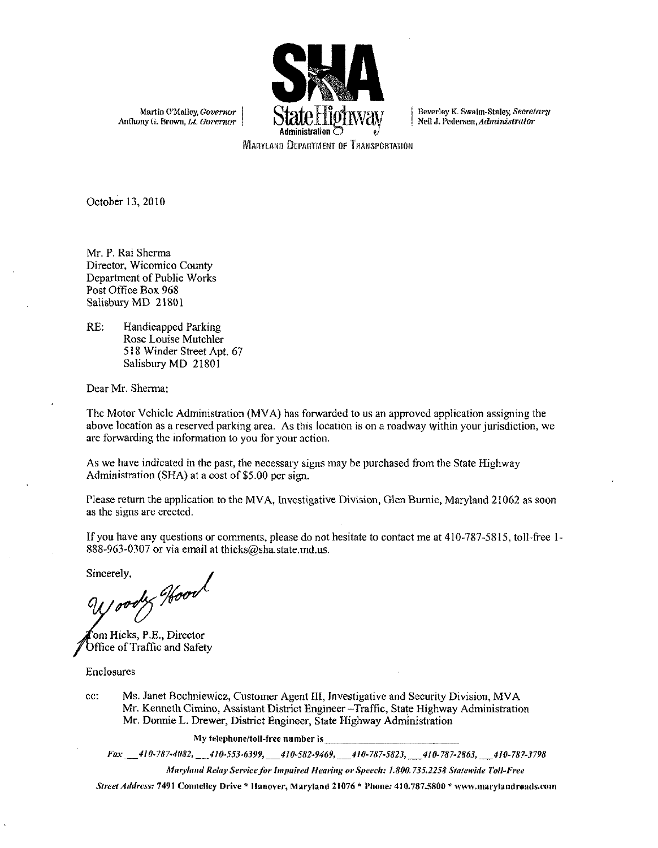

Martin O'Malley, *Governor*<br>Anthony G. Brown, *Lt. Governor* 

Beverley K. Swaim-Staley, *Secretary,*<br>Nell J. Pedersen, *Administrator* Beverley K. Swaim-Staley, *Secretary*<br>Neil J. Pedersen, *Administrator*<br>.

**MARYLAND DEPARTMENT OF TRANSPORTATION** 

October 13, 2010

Mr. P. Rai Sherma Director, Wicomico County Department of Public Works Post Office Box 968 Salisbury MD 21801

RE: Handicapped Parking Rose Louise Mutchler 518 Winder Street Apt. 67 Salisbury MD 21801

Dear Mr. Sherma:

The Motor Vehicle Administration (MVA) has forwarded to us an approved application assigning the above location as a reserved parking area. As this location is on a roadway within your jurisdiction, we are forwarding the information to you for your action

As we have indicated in the past, the necessary signs may be purchased from the State Highway Administration (SHA) at a cost of  $$5.00$  per sign.

Please return the application to the MVA, Investigative Division, Glen Burnie, Maryland 21062 as soon as the signs are erected. Administration (SHA) at a cost of \$5.00 per sign.<br>
Please return the application to the MVA, Investigative<br>
as the signs are crected.<br>
If you have any questions or comments, please do not b<br>
888-963-0307 or via email at th

Frease return the application to the MVA, investigative Division, Citen Burnie, Maryland 21062 as soon<br>as the signs are crected.<br>If you have any questions or comments, please do not hesitate to contact me at 410-787-5815,

Sincerely,<br>9110004x Hoord

om Hicks, P.E., Director Office of Traffic and Safety

Enclosures

cc: Ms. Janet Bochniewicz, Customer Agent III, Investigative and Security Division, MVA Mr. Kenneth Cimino, Assistant District Engineer - Traffic, State Highway Administration Mr. Donnie L. Drewer, District Engineer, State Highway Administration My telephone tollfieemmberis Far <sup>410</sup> <sup>7874081</sup> <sup>410</sup> <sup>5536399</sup><sup>410</sup> <sup>5829469</sup>40787 <sup>5823410</sup> 78728h31410 <sup>787</sup> <sup>3998</sup> Director<br>
Mochniewicz, Customer Agent III, Investigative and Security Division, MVA<br>
eth Cimino, Assistant District Engineer – Traffic, State Highway Administration<br>
ie L. Drewer, District Engineer, State Highway Administr

My telephone/toll-free number is<br>Fax \_\_410-787-4082, \_\_410-553-6399, \_\_410-582-9469, \_\_410-787-5823, \_\_410-787-2863, \_\_410-787-3798<br>Maryland Relay Service for Impaired Hearing or Speech: 1.800.735.2258 Statewide Toll-Free<br>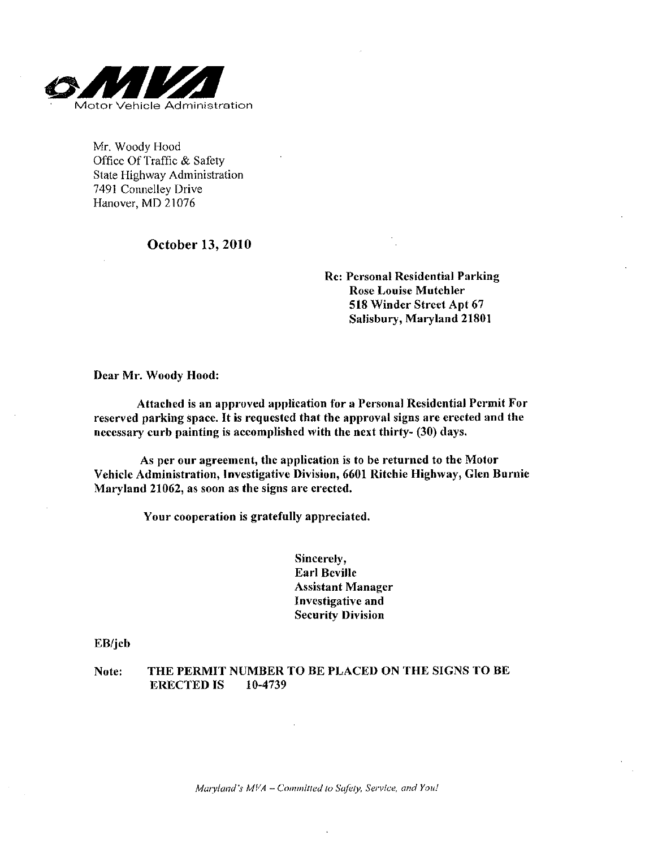

Mr. Woody Hood Office Of Traffic & Safety State Highway Administration 7491 Connelley Drive Hanover, MD 21076

### October 13 2010

Re: Personal Residential Parking Rose Louise Mutchler <sup>518</sup> Winder Street Apt <sup>67</sup> Salisbury, Maryland 21801

Dear Mr. Woody Hood:

Attached is an approved application for <sup>a</sup> Personal Residential Permit For reserved parking space It is requested that the approval signs are erected and the necessary curb painting is accomplished with the next thirty- (30) days.

As per our agreement, the application is to be returned to the Motor Vehicle Administration, Investigative Division, 6601 Ritchie Highway, Glen Burnie Maryland 21062, as soon as the signs are erected.

Your cooperation is gratefully appreciated.

Sincerely Earl Beville Assistant Manager Investigative and **Security Division** 

EB/jcb

Note: THE PERMIT NUMBER TO BE PLACED ON THE SIGNS TO BE ERECTED IS 10-4739

.<br>Maryland's MVA – Committed to Safely, Service, and You!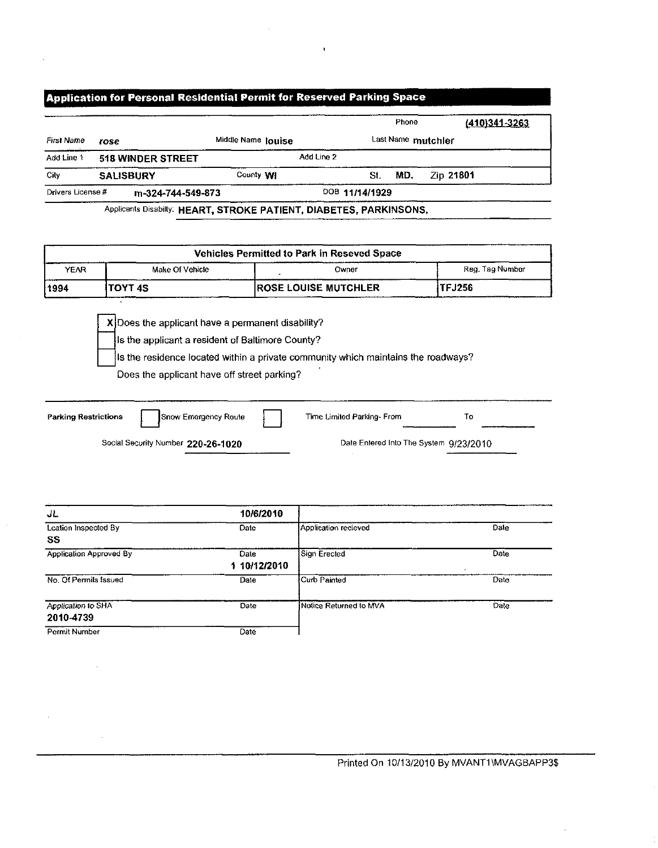### Application for Personal Residential Permit for Reserved Parking Space

|                   |                          |                    | Phone              | (410)341-3263 |
|-------------------|--------------------------|--------------------|--------------------|---------------|
| First Name        | rose                     | Middle Name louise | Last Name mutchler |               |
| Add Line 1        | <b>518 WINDER STREET</b> | Add Line 2         |                    |               |
| City              | <b>SALISBURY</b>         | County WI          | MD.<br>St.         | Zip 21801     |
| Drivers License # | m-324-744-549-873        |                    | DOB 11/14/1929     |               |

| <b>Vehicles Permitted to Park in Reseved Space</b> |  |  |  |  |  |  |  |
|----------------------------------------------------|--|--|--|--|--|--|--|
| Reg. Tag Number                                    |  |  |  |  |  |  |  |
| <b>TFJ256</b>                                      |  |  |  |  |  |  |  |
|                                                    |  |  |  |  |  |  |  |

 $X$  Does the applicant have a permanent disability?

Is the applicant a resident of Baltimore County

Is the residence located within a private community which maintains the roadways?

Does the applicant have off street parking?

Parking Restrictions  $\int$  Snow Emergency Route Time Limited Parking-From To Chinas Social Security Number<br>Social Security Number<br>220-26-1020 Date Entered Into The System 9/23/2010

JL<br>
10/6/2010<br>
Leation Inspected By<br>
Date Lcation Inspected By SS Date Application recieved Date Date Application Approved By Date 1 10/12/2010<br>Date Sign Erected Date No. Of Permits Issued Date Curb Painted Date Curb Painted Date Application to SHA 2010-4739 Date Notice Returned to MVA Date Permit Number Date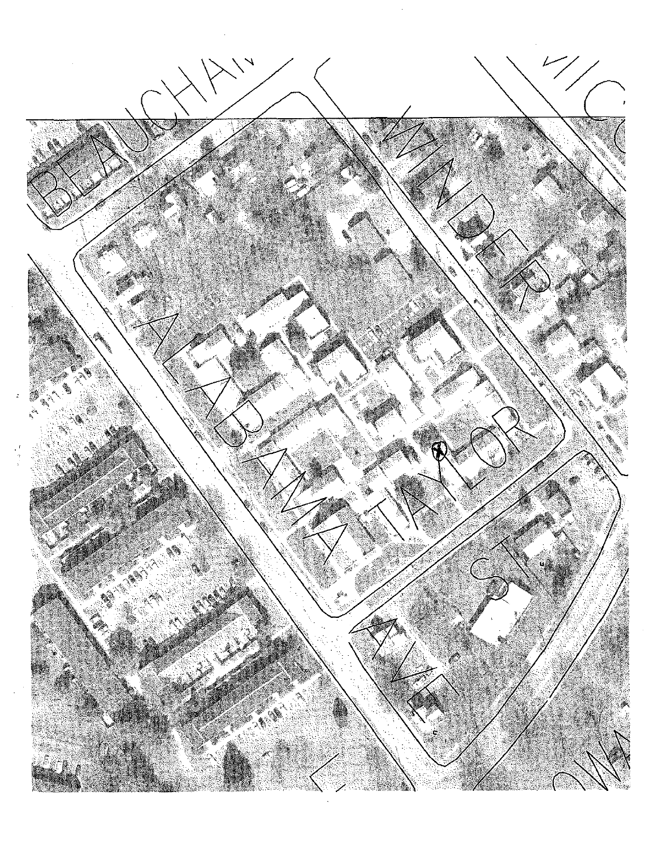